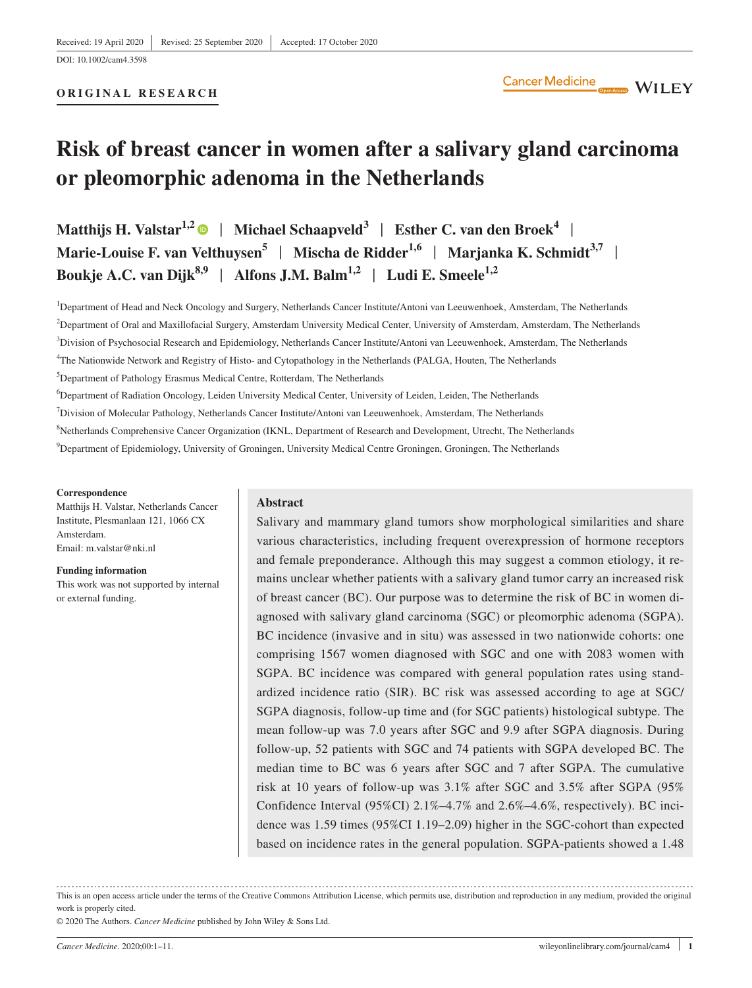**ORIGINAL RESEARCH**

# **Risk of breast cancer in women after a salivary gland carcinoma or pleomorphic adenoma in the Netherlands**

**Matthijs H. Valstar1,[2](https://orcid.org/0000-0002-2415-0893)** | **Michael Schaapveld3** | **Esther C. van den Broek<sup>4</sup>** | **Marie-Louise F. van Velthuysen<sup>5</sup> | Mischa de Ridder<sup>1,6</sup> | Marjanka K. Schmidt<sup>3,7</sup> | Boukje A.C. van Dijk**<sup>8,9</sup> | Alfons J.M. Balm<sup>1,2</sup> | Ludi E. Smeele<sup>1,2</sup>

1 Department of Head and Neck Oncology and Surgery, Netherlands Cancer Institute/Antoni van Leeuwenhoek, Amsterdam, The Netherlands 2 Department of Oral and Maxillofacial Surgery, Amsterdam University Medical Center, University of Amsterdam, Amsterdam, The Netherlands

3 Division of Psychosocial Research and Epidemiology, Netherlands Cancer Institute/Antoni van Leeuwenhoek, Amsterdam, The Netherlands

4 The Nationwide Network and Registry of Histo- and Cytopathology in the Netherlands (PALGA, Houten, The Netherlands

5 Department of Pathology Erasmus Medical Centre, Rotterdam, The Netherlands

6 Department of Radiation Oncology, Leiden University Medical Center, University of Leiden, Leiden, The Netherlands

7 Division of Molecular Pathology, Netherlands Cancer Institute/Antoni van Leeuwenhoek, Amsterdam, The Netherlands

8 Netherlands Comprehensive Cancer Organization (IKNL, Department of Research and Development, Utrecht, The Netherlands

9 Department of Epidemiology, University of Groningen, University Medical Centre Groningen, Groningen, The Netherlands

#### **Correspondence**

Matthijs H. Valstar, Netherlands Cancer Institute, Plesmanlaan 121, 1066 CX Amsterdam. Email: [m.valstar@nki.nl](mailto:m.valstar@nki.nl)

**Funding information** This work was not supported by internal or external funding.

#### **Abstract**

Salivary and mammary gland tumors show morphological similarities and share various characteristics, including frequent overexpression of hormone receptors and female preponderance. Although this may suggest a common etiology, it remains unclear whether patients with a salivary gland tumor carry an increased risk of breast cancer (BC). Our purpose was to determine the risk of BC in women diagnosed with salivary gland carcinoma (SGC) or pleomorphic adenoma (SGPA). BC incidence (invasive and in situ) was assessed in two nationwide cohorts: one comprising 1567 women diagnosed with SGC and one with 2083 women with SGPA. BC incidence was compared with general population rates using standardized incidence ratio (SIR). BC risk was assessed according to age at SGC/ SGPA diagnosis, follow-up time and (for SGC patients) histological subtype. The mean follow-up was 7.0 years after SGC and 9.9 after SGPA diagnosis. During follow-up, 52 patients with SGC and 74 patients with SGPA developed BC. The median time to BC was 6 years after SGC and 7 after SGPA. The cumulative risk at 10 years of follow-up was 3.1% after SGC and 3.5% after SGPA (95% Confidence Interval (95%CI) 2.1%–4.7% and 2.6%–4.6%, respectively). BC incidence was 1.59 times (95%CI 1.19–2.09) higher in the SGC-cohort than expected based on incidence rates in the general population. SGPA-patients showed a 1.48

This is an open access article under the terms of the [Creative Commons Attribution](http://creativecommons.org/licenses/by/4.0/) License, which permits use, distribution and reproduction in any medium, provided the original work is properly cited.

© 2020 The Authors. *Cancer Medicine* published by John Wiley & Sons Ltd.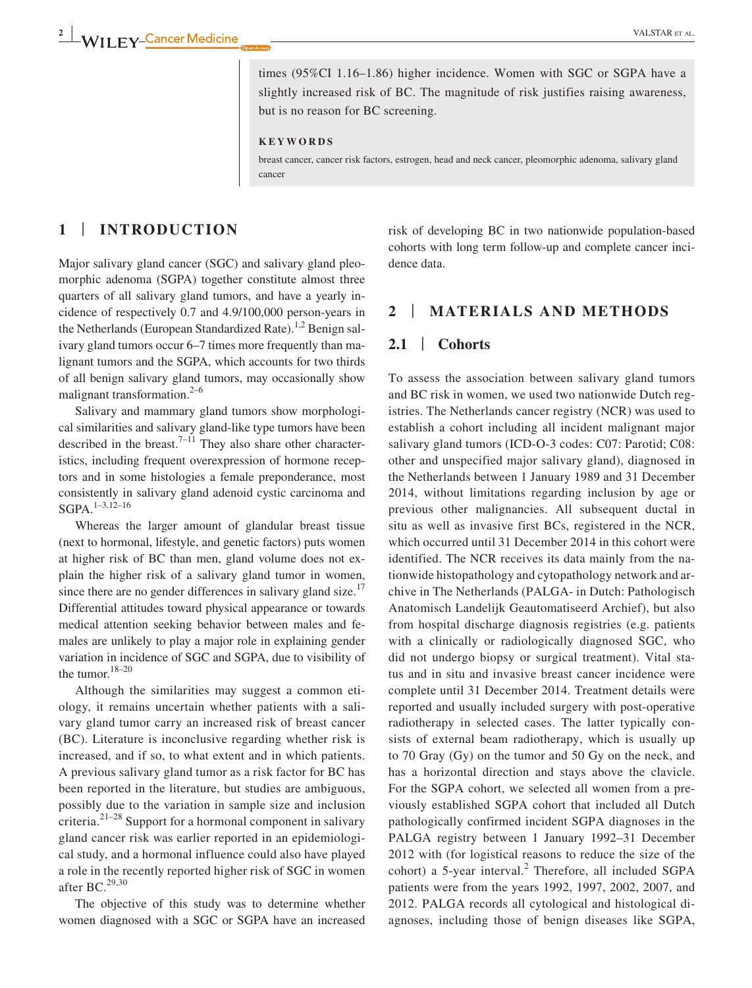times (95%CI 1.16–1.86) higher incidence. Women with SGC or SGPA have a slightly increased risk of BC. The magnitude of risk justifies raising awareness, but is no reason for BC screening.

**KEYWORDS**

breast cancer, cancer risk factors, estrogen, head and neck cancer, pleomorphic adenoma, salivary gland cancer

# **1** | **INTRODUCTION**

Major salivary gland cancer (SGC) and salivary gland pleomorphic adenoma (SGPA) together constitute almost three quarters of all salivary gland tumors, and have a yearly incidence of respectively 0.7 and 4.9/100,000 person-years in the Netherlands (European Standardized Rate).<sup>1,2</sup> Benign salivary gland tumors occur 6–7 times more frequently than malignant tumors and the SGPA, which accounts for two thirds of all benign salivary gland tumors, may occasionally show malignant transformation. $2-6$ 

Salivary and mammary gland tumors show morphological similarities and salivary gland-like type tumors have been described in the breast.<sup>7–11</sup> They also share other characteristics, including frequent overexpression of hormone receptors and in some histologies a female preponderance, most consistently in salivary gland adenoid cystic carcinoma and  $SGPA.$ <sup>1–3,12–16</sup>

Whereas the larger amount of glandular breast tissue (next to hormonal, lifestyle, and genetic factors) puts women at higher risk of BC than men, gland volume does not explain the higher risk of a salivary gland tumor in women, since there are no gender differences in salivary gland size.<sup>17</sup> Differential attitudes toward physical appearance or towards medical attention seeking behavior between males and females are unlikely to play a major role in explaining gender variation in incidence of SGC and SGPA, due to visibility of the tumor.<sup>18-20</sup>

Although the similarities may suggest a common etiology, it remains uncertain whether patients with a salivary gland tumor carry an increased risk of breast cancer (BC). Literature is inconclusive regarding whether risk is increased, and if so, to what extent and in which patients. A previous salivary gland tumor as a risk factor for BC has been reported in the literature, but studies are ambiguous, possibly due to the variation in sample size and inclusion criteria.21–28 Support for a hormonal component in salivary gland cancer risk was earlier reported in an epidemiological study, and a hormonal influence could also have played a role in the recently reported higher risk of SGC in women after BC.<sup>29,30</sup>

The objective of this study was to determine whether women diagnosed with a SGC or SGPA have an increased risk of developing BC in two nationwide population-based cohorts with long term follow-up and complete cancer incidence data.

## **2** | **MATERIALS AND METHODS**

### **2.1** | **Cohorts**

To assess the association between salivary gland tumors and BC risk in women, we used two nationwide Dutch registries. The Netherlands cancer registry (NCR) was used to establish a cohort including all incident malignant major salivary gland tumors (ICD-O-3 codes: C07: Parotid; C08: other and unspecified major salivary gland), diagnosed in the Netherlands between 1 January 1989 and 31 December 2014, without limitations regarding inclusion by age or previous other malignancies. All subsequent ductal in situ as well as invasive first BCs, registered in the NCR, which occurred until 31 December 2014 in this cohort were identified. The NCR receives its data mainly from the nationwide histopathology and cytopathology network and archive in The Netherlands (PALGA- in Dutch: Pathologisch Anatomisch Landelijk Geautomatiseerd Archief), but also from hospital discharge diagnosis registries (e.g. patients with a clinically or radiologically diagnosed SGC, who did not undergo biopsy or surgical treatment). Vital status and in situ and invasive breast cancer incidence were complete until 31 December 2014. Treatment details were reported and usually included surgery with post-operative radiotherapy in selected cases. The latter typically consists of external beam radiotherapy, which is usually up to 70 Gray (Gy) on the tumor and 50 Gy on the neck, and has a horizontal direction and stays above the clavicle. For the SGPA cohort, we selected all women from a previously established SGPA cohort that included all Dutch pathologically confirmed incident SGPA diagnoses in the PALGA registry between 1 January 1992–31 December 2012 with (for logistical reasons to reduce the size of the  $\text{cohort}$ ) a 5-year interval.<sup>2</sup> Therefore, all included SGPA patients were from the years 1992, 1997, 2002, 2007, and 2012. PALGA records all cytological and histological diagnoses, including those of benign diseases like SGPA,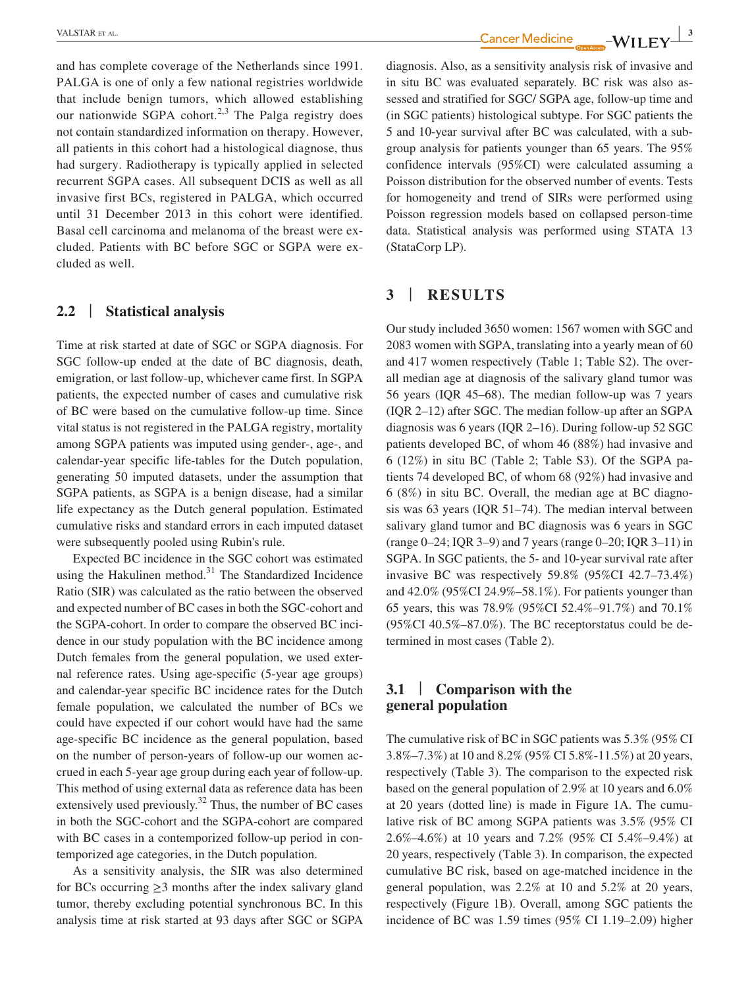and has complete coverage of the Netherlands since 1991. PALGA is one of only a few national registries worldwide that include benign tumors, which allowed establishing our nationwide SGPA cohort.<sup>2,3</sup> The Palga registry does not contain standardized information on therapy. However, all patients in this cohort had a histological diagnose, thus had surgery. Radiotherapy is typically applied in selected recurrent SGPA cases. All subsequent DCIS as well as all invasive first BCs, registered in PALGA, which occurred until 31 December 2013 in this cohort were identified. Basal cell carcinoma and melanoma of the breast were excluded. Patients with BC before SGC or SGPA were excluded as well.

# **2.2** | **Statistical analysis**

Time at risk started at date of SGC or SGPA diagnosis. For SGC follow-up ended at the date of BC diagnosis, death, emigration, or last follow-up, whichever came first. In SGPA patients, the expected number of cases and cumulative risk of BC were based on the cumulative follow-up time. Since vital status is not registered in the PALGA registry, mortality among SGPA patients was imputed using gender-, age-, and calendar-year specific life-tables for the Dutch population, generating 50 imputed datasets, under the assumption that SGPA patients, as SGPA is a benign disease, had a similar life expectancy as the Dutch general population. Estimated cumulative risks and standard errors in each imputed dataset were subsequently pooled using Rubin's rule.

Expected BC incidence in the SGC cohort was estimated using the Hakulinen method.<sup>31</sup> The Standardized Incidence Ratio (SIR) was calculated as the ratio between the observed and expected number of BC cases in both the SGC-cohort and the SGPA-cohort. In order to compare the observed BC incidence in our study population with the BC incidence among Dutch females from the general population, we used external reference rates. Using age-specific (5-year age groups) and calendar-year specific BC incidence rates for the Dutch female population, we calculated the number of BCs we could have expected if our cohort would have had the same age-specific BC incidence as the general population, based on the number of person-years of follow-up our women accrued in each 5-year age group during each year of follow-up. This method of using external data as reference data has been extensively used previously.<sup>32</sup> Thus, the number of BC cases in both the SGC-cohort and the SGPA-cohort are compared with BC cases in a contemporized follow-up period in contemporized age categories, in the Dutch population.

As a sensitivity analysis, the SIR was also determined for BCs occurring  $\geq$ 3 months after the index salivary gland tumor, thereby excluding potential synchronous BC. In this analysis time at risk started at 93 days after SGC or SGPA

VALSTAR ET AL. **2008 AND THE SETAR ET AL. 30 AND THE SETAR ET AL. 30 AND THE SETAR ET AL. 30 AND THE SETAR ET AL. 30 AND THE SETAR ET AL. 30 AND THE SETAR ET AL. 30 AND THE SETAR ET AL. 30 AND THE SETAR ET AL** 

diagnosis. Also, as a sensitivity analysis risk of invasive and in situ BC was evaluated separately. BC risk was also assessed and stratified for SGC/ SGPA age, follow-up time and (in SGC patients) histological subtype. For SGC patients the 5 and 10-year survival after BC was calculated, with a subgroup analysis for patients younger than 65 years. The 95% confidence intervals (95%CI) were calculated assuming a Poisson distribution for the observed number of events. Tests for homogeneity and trend of SIRs were performed using Poisson regression models based on collapsed person-time data. Statistical analysis was performed using STATA 13 (StataCorp LP).

## **3** | **RESULTS**

Our study included 3650 women: 1567 women with SGC and 2083 women with SGPA, translating into a yearly mean of 60 and 417 women respectively (Table 1; Table S2). The overall median age at diagnosis of the salivary gland tumor was 56 years (IQR 45–68). The median follow-up was 7 years (IQR 2–12) after SGC. The median follow-up after an SGPA diagnosis was 6 years (IQR 2–16). During follow-up 52 SGC patients developed BC, of whom 46 (88%) had invasive and 6 (12%) in situ BC (Table 2; Table S3). Of the SGPA patients 74 developed BC, of whom 68 (92%) had invasive and 6 (8%) in situ BC. Overall, the median age at BC diagnosis was 63 years (IQR 51–74). The median interval between salivary gland tumor and BC diagnosis was 6 years in SGC (range 0–24; IQR 3–9) and 7 years (range 0–20; IQR 3–11) in SGPA. In SGC patients, the 5- and 10-year survival rate after invasive BC was respectively 59.8% (95%CI 42.7–73.4%) and 42.0% (95%CI 24.9%–58.1%). For patients younger than 65 years, this was 78.9% (95%CI 52.4%–91.7%) and 70.1% (95%CI 40.5%–87.0%). The BC receptorstatus could be determined in most cases (Table 2).

## **3.1** | **Comparison with the general population**

The cumulative risk of BC in SGC patients was 5.3% (95% CI 3.8%–7.3%) at 10 and 8.2% (95% CI 5.8%-11.5%) at 20 years, respectively (Table 3). The comparison to the expected risk based on the general population of 2.9% at 10 years and 6.0% at 20 years (dotted line) is made in Figure 1A. The cumulative risk of BC among SGPA patients was 3.5% (95% CI 2.6%–4.6%) at 10 years and 7.2% (95% CI 5.4%–9.4%) at 20 years, respectively (Table 3). In comparison, the expected cumulative BC risk, based on age-matched incidence in the general population, was 2.2% at 10 and 5.2% at 20 years, respectively (Figure 1B). Overall, among SGC patients the incidence of BC was 1.59 times (95% CI 1.19–2.09) higher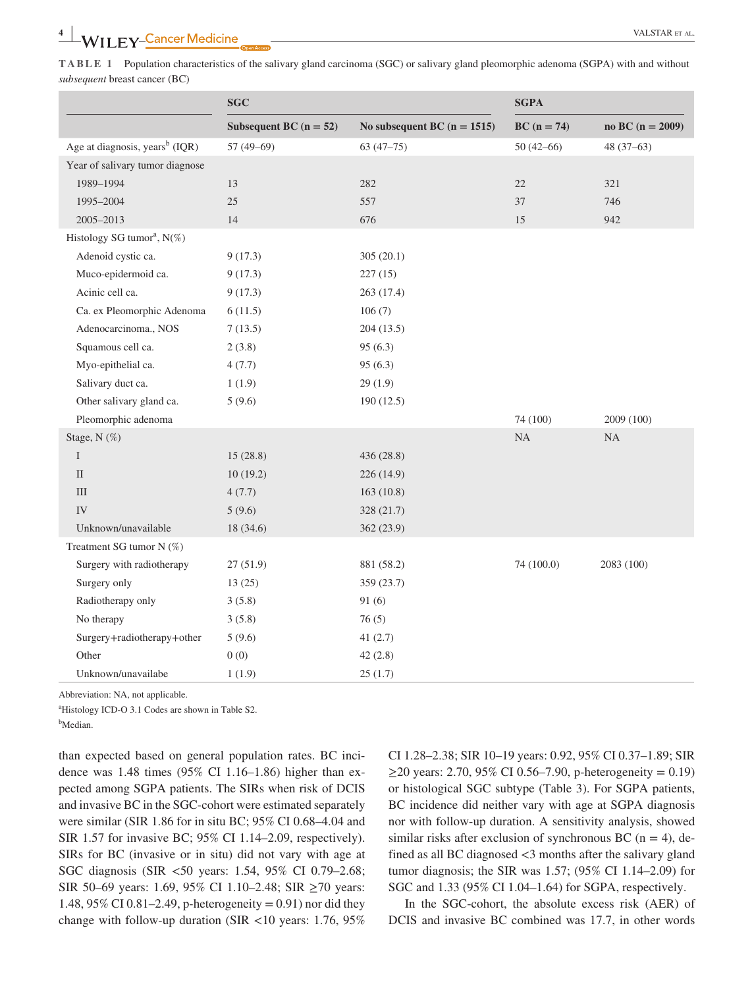**TABLE 1** Population characteristics of the salivary gland carcinoma (SGC) or salivary gland pleomorphic adenoma (SGPA) with and without *subsequent* breast cancer (BC)

|                                            | <b>SGC</b>               |                               | <b>SGPA</b>   |                      |
|--------------------------------------------|--------------------------|-------------------------------|---------------|----------------------|
|                                            | Subsequent BC $(n = 52)$ | No subsequent BC $(n = 1515)$ | $BC (n = 74)$ | no BC ( $n = 2009$ ) |
| Age at diagnosis, years <sup>b</sup> (IQR) | 57 $(49-69)$             | $63(47-75)$                   | $50(42-66)$   | $48(37-63)$          |
| Year of salivary tumor diagnose            |                          |                               |               |                      |
| 1989-1994                                  | 13                       | 282                           | 22            | 321                  |
| 1995-2004                                  | 25                       | 557                           | 37            | 746                  |
| 2005-2013                                  | 14                       | 676                           | 15            | 942                  |
| Histology SG tumor <sup>a</sup> , N(%)     |                          |                               |               |                      |
| Adenoid cystic ca.                         | 9(17.3)                  | 305(20.1)                     |               |                      |
| Muco-epidermoid ca.                        | 9(17.3)                  | 227(15)                       |               |                      |
| Acinic cell ca.                            | 9(17.3)                  | 263 (17.4)                    |               |                      |
| Ca. ex Pleomorphic Adenoma                 | 6(11.5)                  | 106(7)                        |               |                      |
| Adenocarcinoma., NOS                       | 7(13.5)                  | 204(13.5)                     |               |                      |
| Squamous cell ca.                          | 2(3.8)                   | 95(6.3)                       |               |                      |
| Myo-epithelial ca.                         | 4(7.7)                   | 95(6.3)                       |               |                      |
| Salivary duct ca.                          | 1(1.9)                   | 29(1.9)                       |               |                      |
| Other salivary gland ca.                   | 5(9.6)                   | 190(12.5)                     |               |                      |
| Pleomorphic adenoma                        |                          |                               | 74 (100)      | 2009 (100)           |
| Stage, N (%)                               |                          |                               | NA            | <b>NA</b>            |
| $\rm I$                                    | 15(28.8)                 | 436 (28.8)                    |               |                      |
| $\rm II$                                   | 10(19.2)                 | 226 (14.9)                    |               |                      |
| $\rm III$                                  | 4(7.7)                   | 163(10.8)                     |               |                      |
| IV                                         | 5(9.6)                   | 328 (21.7)                    |               |                      |
| Unknown/unavailable                        | 18 (34.6)                | 362 (23.9)                    |               |                      |
| Treatment SG tumor N (%)                   |                          |                               |               |                      |
| Surgery with radiotherapy                  | 27(51.9)                 | 881 (58.2)                    | 74 (100.0)    | 2083 (100)           |
| Surgery only                               | 13(25)                   | 359 (23.7)                    |               |                      |
| Radiotherapy only                          | 3(5.8)                   | 91(6)                         |               |                      |
| No therapy                                 | 3(5.8)                   | 76(5)                         |               |                      |
| Surgery+radiotherapy+other                 | 5(9.6)                   | 41(2.7)                       |               |                      |
| Other                                      | 0(0)                     | 42(2.8)                       |               |                      |
| Unknown/unavailabe                         | 1(1.9)                   | 25(1.7)                       |               |                      |

Abbreviation: NA, not applicable.

a Histology ICD-O 3.1 Codes are shown in Table S2.

<sup>b</sup>Median.

than expected based on general population rates. BC incidence was 1.48 times (95% CI 1.16–1.86) higher than expected among SGPA patients. The SIRs when risk of DCIS and invasive BC in the SGC-cohort were estimated separately were similar (SIR 1.86 for in situ BC; 95% CI 0.68–4.04 and SIR 1.57 for invasive BC; 95% CI 1.14–2.09, respectively). SIRs for BC (invasive or in situ) did not vary with age at SGC diagnosis (SIR <50 years: 1.54, 95% CI 0.79–2.68; SIR 50–69 years: 1.69, 95% CI 1.10–2.48; SIR ≥70 years: 1.48, 95% CI 0.81–2.49, p-heterogeneity = 0.91) nor did they change with follow-up duration (SIR <10 years: 1.76, 95% CI 1.28–2.38; SIR 10–19 years: 0.92, 95% CI 0.37–1.89; SIR  $≥$ 20 years: 2.70, 95% CI 0.56–7.90, p-heterogeneity = 0.19) or histological SGC subtype (Table 3). For SGPA patients, BC incidence did neither vary with age at SGPA diagnosis nor with follow-up duration. A sensitivity analysis, showed similar risks after exclusion of synchronous BC ( $n = 4$ ), defined as all BC diagnosed <3 months after the salivary gland tumor diagnosis; the SIR was 1.57; (95% CI 1.14–2.09) for SGC and 1.33 (95% CI 1.04–1.64) for SGPA, respectively.

In the SGC-cohort, the absolute excess risk (AER) of DCIS and invasive BC combined was 17.7, in other words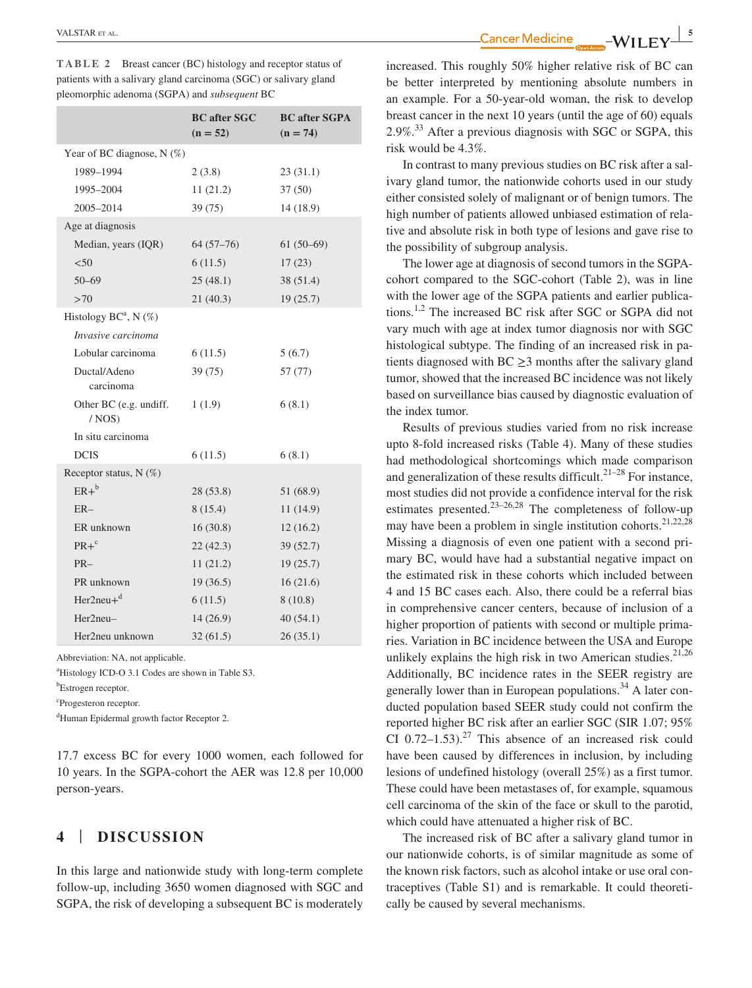| TABLE 2 | Breast cancer (BC) histology and receptor status of              |
|---------|------------------------------------------------------------------|
|         | patients with a salivary gland carcinoma (SGC) or salivary gland |
|         | pleomorphic adenoma (SGPA) and <i>subsequent</i> BC              |

|                                    | <b>BC</b> after SGC<br>$(n = 52)$ | <b>BC</b> after SGPA<br>$(n = 74)$ |
|------------------------------------|-----------------------------------|------------------------------------|
| Year of BC diagnose, $N(\%)$       |                                   |                                    |
| 1989-1994                          | 2(3.8)                            | 23(31.1)                           |
| 1995-2004                          | 11(21.2)                          | 37(50)                             |
| 2005-2014                          | 39(75)                            | 14 (18.9)                          |
| Age at diagnosis                   |                                   |                                    |
| Median, years (IQR)                | $64(57-76)$                       | $61(50-69)$                        |
| < 50                               | 6(11.5)                           | 17(23)                             |
| $50 - 69$                          | 25(48.1)                          | 38 (51.4)                          |
| >70                                | 21(40.3)                          | 19(25.7)                           |
| Histology BC <sup>a</sup> , N (%)  |                                   |                                    |
| Invasive carcinoma                 |                                   |                                    |
| Lobular carcinoma                  | 6(11.5)                           | 5(6.7)                             |
| Ductal/Adeno                       | 39(75)                            | 57 (77)                            |
| carcinoma                          |                                   |                                    |
| Other BC (e.g. undiff.<br>$/$ NOS) | 1(1.9)                            | 6(8.1)                             |
| In situ carcinoma                  |                                   |                                    |
| <b>DCIS</b>                        | 6(11.5)                           | 6(8.1)                             |
| Receptor status, $N$ (%)           |                                   |                                    |
| $ER+^b$                            | 28(53.8)                          | 51 (68.9)                          |
| $ER-$                              | 8 (15.4)                          | 11(14.9)                           |
| ER unknown                         | 16(30.8)                          | 12(16.2)                           |
| $PR + c$                           | 22(42.3)                          | 39(52.7)                           |
| $PR-$                              | 11(21.2)                          | 19(25.7)                           |
| PR unknown                         | 19(36.5)                          | 16(21.6)                           |
| $Her2neu+d$                        | 6(11.5)                           | 8(10.8)                            |
| Her2neu-                           | 14(26.9)                          | 40(54.1)                           |
| Her2neu unknown                    | 32(61.5)                          | 26(35.1)                           |

Abbreviation: NA, not applicable.

a Histology ICD-O 3.1 Codes are shown in Table S3.

b Estrogen receptor.

c Progesteron receptor.

d Human Epidermal growth factor Receptor 2.

17.7 excess BC for every 1000 women, each followed for 10 years. In the SGPA-cohort the AER was 12.8 per 10,000 person-years.

# **4** | **DISCUSSION**

In this large and nationwide study with long-term complete follow-up, including 3650 women diagnosed with SGC and SGPA, the risk of developing a subsequent BC is moderately

**TALSTAR** ET AL. **STAR** ET AL. **5** 

increased. This roughly 50% higher relative risk of BC can be better interpreted by mentioning absolute numbers in an example. For a 50-year-old woman, the risk to develop breast cancer in the next 10 years (until the age of 60) equals  $2.9\%$ <sup>33</sup> After a previous diagnosis with SGC or SGPA, this risk would be 4.3%.

In contrast to many previous studies on BC risk after a salivary gland tumor, the nationwide cohorts used in our study either consisted solely of malignant or of benign tumors. The high number of patients allowed unbiased estimation of relative and absolute risk in both type of lesions and gave rise to the possibility of subgroup analysis.

The lower age at diagnosis of second tumors in the SGPAcohort compared to the SGC-cohort (Table 2), was in line with the lower age of the SGPA patients and earlier publications.1,2 The increased BC risk after SGC or SGPA did not vary much with age at index tumor diagnosis nor with SGC histological subtype. The finding of an increased risk in patients diagnosed with  $BC \ge 3$  months after the salivary gland tumor, showed that the increased BC incidence was not likely based on surveillance bias caused by diagnostic evaluation of the index tumor.

Results of previous studies varied from no risk increase upto 8-fold increased risks (Table 4). Many of these studies had methodological shortcomings which made comparison and generalization of these results difficult.<sup>21-28</sup> For instance, most studies did not provide a confidence interval for the risk estimates presented.23–26,28 The completeness of follow-up may have been a problem in single institution cohorts.<sup>21,22,28</sup> Missing a diagnosis of even one patient with a second primary BC, would have had a substantial negative impact on the estimated risk in these cohorts which included between 4 and 15 BC cases each. Also, there could be a referral bias in comprehensive cancer centers, because of inclusion of a higher proportion of patients with second or multiple primaries. Variation in BC incidence between the USA and Europe unlikely explains the high risk in two American studies.<sup>21,26</sup> Additionally, BC incidence rates in the SEER registry are generally lower than in European populations.<sup>34</sup> A later conducted population based SEER study could not confirm the reported higher BC risk after an earlier SGC (SIR 1.07; 95% CI 0.72–1.53).<sup>27</sup> This absence of an increased risk could have been caused by differences in inclusion, by including lesions of undefined histology (overall 25%) as a first tumor. These could have been metastases of, for example, squamous cell carcinoma of the skin of the face or skull to the parotid, which could have attenuated a higher risk of BC.

The increased risk of BC after a salivary gland tumor in our nationwide cohorts, is of similar magnitude as some of the known risk factors, such as alcohol intake or use oral contraceptives (Table S1) and is remarkable. It could theoretically be caused by several mechanisms.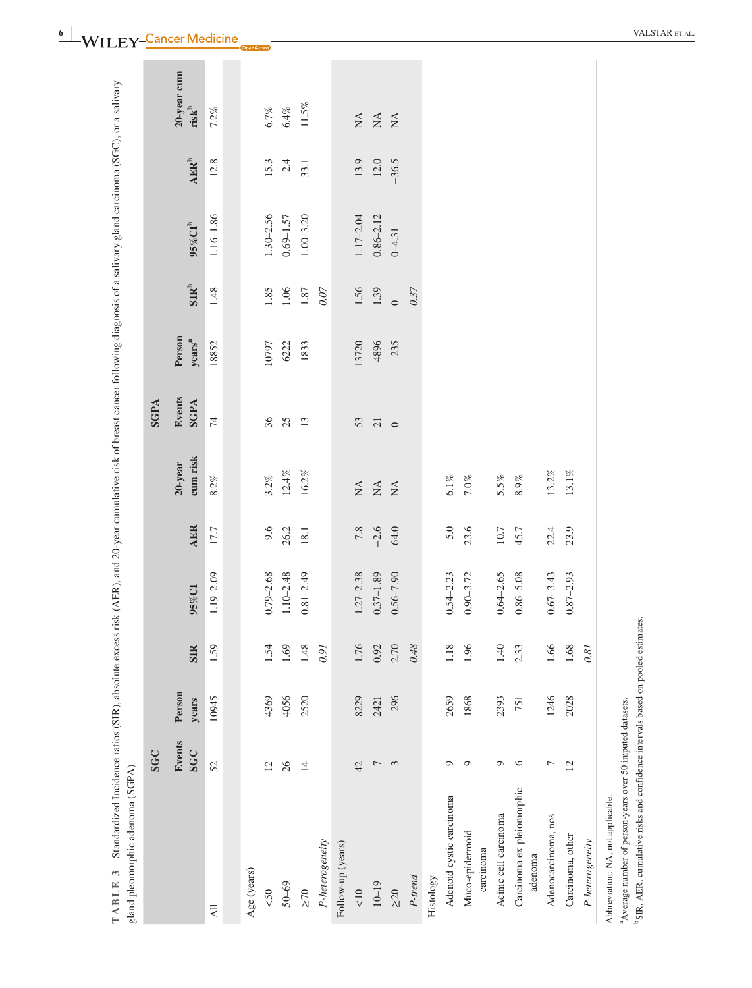| gland pleomorphic adenoma (SGPA)     |                      |                 |            |               |            |                                          |                       |                              |                  |               |                           |                                                             |
|--------------------------------------|----------------------|-----------------|------------|---------------|------------|------------------------------------------|-----------------------|------------------------------|------------------|---------------|---------------------------|-------------------------------------------------------------|
|                                      | <b>SGC</b>           |                 |            |               |            |                                          | SGPA                  |                              |                  |               |                           |                                                             |
|                                      | Events<br><b>SGC</b> | Person<br>years | <b>SIR</b> | 95%CI         | <b>AER</b> | cum risk<br>20-year                      | Events<br><b>SGPA</b> | Person<br>years <sup>a</sup> | SIR <sup>b</sup> | $95\%$ CTb    | $\mathbf{AER}^\mathbf{b}$ | 20-year cum<br>$risk^b$                                     |
| $\overline{AB}$                      | 52                   | 10945           | 1.59       | $1.19 - 2.09$ | 17.7       | 8.2%                                     | $\overline{7}$        | 18852                        | 1.48             | $1.16 - 1.86$ | 12.8                      | 7.2%                                                        |
|                                      |                      |                 |            |               |            |                                          |                       |                              |                  |               |                           |                                                             |
| Age (years)                          |                      |                 |            |               |            |                                          |                       |                              |                  |               |                           |                                                             |
| $\leqslant$                          | 12                   | 4369            | 1.54       | $0.79 - 2.68$ | 9.6        | $3.2\%$                                  | 36                    | 10797                        | 1.85             | $1.30 - 2.56$ | 15.3                      | 6.7%                                                        |
| $50 - 69$                            | 26                   | 4056            | 1.69       | $1.10 - 2.48$ | 26.2       | $12.4\%$                                 | 25                    | 6222                         | 1.06             | $0.69 - 1.57$ | 2.4                       | $6.4\%$                                                     |
| $\geq 70$                            | $14$                 | 2520            | 1.48       | $0.81 - 2.49$ | 18.1       | $16.2\%$                                 | 13                    | 1833                         | $1.87\,$         | $1.00 - 3.20$ | 33.1                      | $11.5\%$                                                    |
| P-heterogeneity                      |                      |                 | 160        |               |            |                                          |                       |                              | 0.07             |               |                           |                                                             |
| Follow-up (years)                    |                      |                 |            |               |            |                                          |                       |                              |                  |               |                           |                                                             |
| $\leq 10$                            | 42                   | 8229            | 1.76       | $1.27 - 2.38$ | 7.8        | $\stackrel{\triangle}{\scriptstyle\sim}$ | 53                    | 13720                        | 1.56             | $1.17 - 2.04$ | 13.9                      | $\stackrel{\displaystyle\triangle}{\displaystyle\triangle}$ |
| $10 - 19$                            | $\overline{ }$       | 2421            | 0.92       | $0.37 - 1.89$ | $-2.6$     | $\mathop{\mathsf{NA}}$                   | $\overline{21}$       | 4896                         | 1.39             | $0.86 - 2.12$ | $12.0\,$                  | $\lesssim$                                                  |
| $\geq 20$                            | $\tilde{\xi}$        | 296             | 2.70       | $0.56 - 7.90$ | 64.0       | $\mathop{\mathrm{NA}}$                   | $\circ$               | 235                          | $\circ$          | $0 - 4.31$    | $-36.5$                   | $\stackrel{\Delta}{\simeq}$                                 |
| P-trend                              |                      |                 | 0.48       |               |            |                                          |                       |                              | 0.37             |               |                           |                                                             |
| Histology                            |                      |                 |            |               |            |                                          |                       |                              |                  |               |                           |                                                             |
| Adenoid cystic carcinoma             | Ō                    | 2659            | 1.18       | $0.54 - 2.23$ | 5.0        | $6.1\%$                                  |                       |                              |                  |               |                           |                                                             |
| Muco-epidermoid<br>carcinoma         | Q                    | 1868            | 1.96       | $0.90 - 3.72$ | 23.6       | $7.0\%$                                  |                       |                              |                  |               |                           |                                                             |
| Acinic cell carcinoma                | Q                    | 2393            | 1.40       | $0.64 - 2.65$ | $10.7\,$   | 5.5%                                     |                       |                              |                  |               |                           |                                                             |
| Carcinoma ex pleiomorphic<br>adenoma | $\circ$              | 751             | 2.33       | $0.86 - 5.08$ | 45.7       | $8.9\%$                                  |                       |                              |                  |               |                           |                                                             |
| Adenocarcinoma, nos                  | 7                    | 1246            | 1.66       | $0.67 - 3.43$ | 22.4       | $13.2\%$                                 |                       |                              |                  |               |                           |                                                             |
| Carcinoma, other                     | 12                   | 2028            | 1.68       | $0.87 - 2.93$ | 23.9       | $13.1\%$                                 |                       |                              |                  |               |                           |                                                             |
| P-heterogeneity                      |                      |                 | 0.81       |               |            |                                          |                       |                              |                  |               |                           |                                                             |
| Abbreviation: NA, not applicable.    |                      |                 |            |               |            |                                          |                       |                              |                  |               |                           |                                                             |

 $\overset{6}{\blacksquare}$  **WIIFY** Cancer Medicine  $\qquad \qquad \square$ 

<sup>a</sup>Average number of person-years over 50 imputed datasets.

 $\,^{\text{a}}$ Average number of person-years over 50 imputed datasets.<br> $\,^{\text{b}}$ SIR, AER, cumulative risks and confidence intervals based on pooled estimates. bSIR, AER, cumulative risks and confidence intervals based on pooled estimates.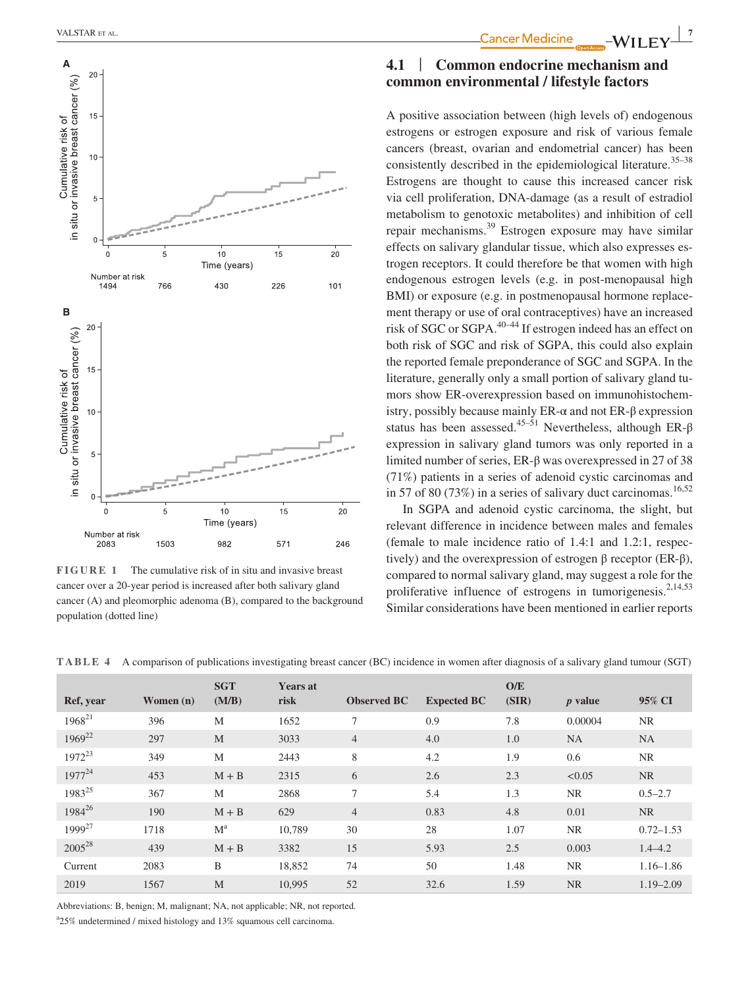

**FIGURE 1** The cumulative risk of in situ and invasive breast cancer over a 20-year period is increased after both salivary gland cancer (A) and pleomorphic adenoma (B), compared to the background population (dotted line)

# **4.1** | **Common endocrine mechanism and common environmental / lifestyle factors**

A positive association between (high levels of) endogenous estrogens or estrogen exposure and risk of various female cancers (breast, ovarian and endometrial cancer) has been consistently described in the epidemiological literature.<sup>35–38</sup> Estrogens are thought to cause this increased cancer risk via cell proliferation, DNA-damage (as a result of estradiol metabolism to genotoxic metabolites) and inhibition of cell repair mechanisms.39 Estrogen exposure may have similar effects on salivary glandular tissue, which also expresses estrogen receptors. It could therefore be that women with high endogenous estrogen levels (e.g. in post-menopausal high BMI) or exposure (e.g. in postmenopausal hormone replacement therapy or use of oral contraceptives) have an increased risk of SGC or SGPA.40–44 If estrogen indeed has an effect on both risk of SGC and risk of SGPA, this could also explain the reported female preponderance of SGC and SGPA. In the literature, generally only a small portion of salivary gland tumors show ER-overexpression based on immunohistochemistry, possibly because mainly  $ER-\alpha$  and not  $ER-\beta$  expression status has been assessed.<sup>45–51</sup> Nevertheless, although ER- $\beta$ expression in salivary gland tumors was only reported in a limited number of series, ER-β was overexpressed in 27 of 38 (71%) patients in a series of adenoid cystic carcinomas and in 57 of 80 (73%) in a series of salivary duct carcinomas.<sup>16,52</sup>

In SGPA and adenoid cystic carcinoma, the slight, but relevant difference in incidence between males and females (female to male incidence ratio of 1.4:1 and 1.2:1, respectively) and the overexpression of estrogen β receptor ( $ER-β$ ), compared to normal salivary gland, may suggest a role for the proliferative influence of estrogens in tumorigenesis.<sup>2,14,53</sup> Similar considerations have been mentioned in earlier reports

**TABLE 4** A comparison of publications investigating breast cancer (BC) incidence in women after diagnosis of a salivary gland tumour (SGT)

| Ref, year          | Women $(n)$ | <b>SGT</b><br>(M/B) | <b>Years at</b><br>risk | <b>Observed BC</b> | <b>Expected BC</b> | O/E<br>(SIR) | <i>p</i> value | 95% CI        |
|--------------------|-------------|---------------------|-------------------------|--------------------|--------------------|--------------|----------------|---------------|
| $1968^{21}$        | 396         | M                   | 1652                    | $\tau$             | 0.9                | 7.8          | 0.00004        | <b>NR</b>     |
| $1969^{22}$        | 297         | M                   | 3033                    | $\overline{4}$     | 4.0                | 1.0          | <b>NA</b>      | <b>NA</b>     |
| $1972^{23}$        | 349         | M                   | 2443                    | 8                  | 4.2                | 1.9          | 0.6            | <b>NR</b>     |
| $1977^{24}$        | 453         | $M + B$             | 2315                    | 6                  | 2.6                | 2.3          | < 0.05         | NR.           |
| 1983 <sup>25</sup> | 367         | M                   | 2868                    | $\tau$             | 5.4                | 1.3          | <b>NR</b>      | $0.5 - 2.7$   |
| 1984 <sup>26</sup> | 190         | $M + B$             | 629                     | $\overline{4}$     | 0.83               | 4.8          | 0.01           | <b>NR</b>     |
| 1999 <sup>27</sup> | 1718        | $M^a$               | 10.789                  | 30                 | 28                 | 1.07         | <b>NR</b>      | $0.72 - 1.53$ |
| 2005 <sup>28</sup> | 439         | $M + B$             | 3382                    | 15                 | 5.93               | 2.5          | 0.003          | $1.4 - 4.2$   |
| Current            | 2083        | B                   | 18,852                  | 74                 | 50                 | 1.48         | <b>NR</b>      | $1.16 - 1.86$ |
| 2019               | 1567        | M                   | 10,995                  | 52                 | 32.6               | 1.59         | <b>NR</b>      | $1.19 - 2.09$ |

Abbreviations: B, benign; M, malignant; NA, not applicable; NR, not reported.

a 25% undetermined / mixed histology and 13% squamous cell carcinoma.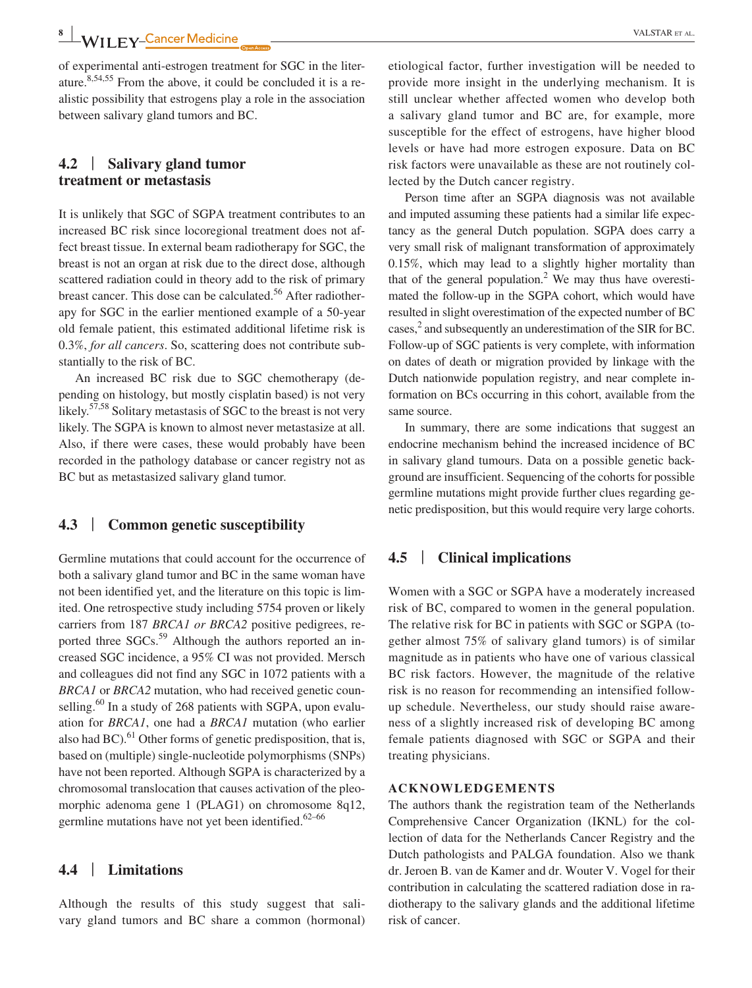of experimental anti-estrogen treatment for SGC in the literature. $8,54,55$  From the above, it could be concluded it is a realistic possibility that estrogens play a role in the association between salivary gland tumors and BC.

# **4.2** | **Salivary gland tumor treatment or metastasis**

It is unlikely that SGC of SGPA treatment contributes to an increased BC risk since locoregional treatment does not affect breast tissue. In external beam radiotherapy for SGC, the breast is not an organ at risk due to the direct dose, although scattered radiation could in theory add to the risk of primary breast cancer. This dose can be calculated.<sup>56</sup> After radiotherapy for SGC in the earlier mentioned example of a 50-year old female patient, this estimated additional lifetime risk is 0.3%, *for all cancers*. So, scattering does not contribute substantially to the risk of BC.

An increased BC risk due to SGC chemotherapy (depending on histology, but mostly cisplatin based) is not very likely.<sup>57,58</sup> Solitary metastasis of SGC to the breast is not very likely. The SGPA is known to almost never metastasize at all. Also, if there were cases, these would probably have been recorded in the pathology database or cancer registry not as BC but as metastasized salivary gland tumor.

## **4.3** | **Common genetic susceptibility**

Germline mutations that could account for the occurrence of both a salivary gland tumor and BC in the same woman have not been identified yet, and the literature on this topic is limited. One retrospective study including 5754 proven or likely carriers from 187 *BRCA1 or BRCA2* positive pedigrees, reported three SGCs.<sup>59</sup> Although the authors reported an increased SGC incidence, a 95% CI was not provided. Mersch and colleagues did not find any SGC in 1072 patients with a *BRCA1* or *BRCA2* mutation, who had received genetic counselling. $60$  In a study of 268 patients with SGPA, upon evaluation for *BRCA1*, one had a *BRCA1* mutation (who earlier also had  $BC$ ).<sup>61</sup> Other forms of genetic predisposition, that is, based on (multiple) single-nucleotide polymorphisms (SNPs) have not been reported. Although SGPA is characterized by a chromosomal translocation that causes activation of the pleomorphic adenoma gene 1 (PLAG1) on chromosome 8q12, germline mutations have not yet been identified. $62-66$ 

#### **4.4** | **Limitations**

Although the results of this study suggest that salivary gland tumors and BC share a common (hormonal) etiological factor, further investigation will be needed to provide more insight in the underlying mechanism. It is still unclear whether affected women who develop both a salivary gland tumor and BC are, for example, more susceptible for the effect of estrogens, have higher blood levels or have had more estrogen exposure. Data on BC risk factors were unavailable as these are not routinely collected by the Dutch cancer registry.

Person time after an SGPA diagnosis was not available and imputed assuming these patients had a similar life expectancy as the general Dutch population. SGPA does carry a very small risk of malignant transformation of approximately 0.15%, which may lead to a slightly higher mortality than that of the general population. $2$  We may thus have overestimated the follow-up in the SGPA cohort, which would have resulted in slight overestimation of the expected number of BC cases,<sup>2</sup> and subsequently an underestimation of the SIR for BC. Follow-up of SGC patients is very complete, with information on dates of death or migration provided by linkage with the Dutch nationwide population registry, and near complete information on BCs occurring in this cohort, available from the same source.

In summary, there are some indications that suggest an endocrine mechanism behind the increased incidence of BC in salivary gland tumours. Data on a possible genetic background are insufficient. Sequencing of the cohorts for possible germline mutations might provide further clues regarding genetic predisposition, but this would require very large cohorts.

### **4.5** | **Clinical implications**

Women with a SGC or SGPA have a moderately increased risk of BC, compared to women in the general population. The relative risk for BC in patients with SGC or SGPA (together almost 75% of salivary gland tumors) is of similar magnitude as in patients who have one of various classical BC risk factors. However, the magnitude of the relative risk is no reason for recommending an intensified followup schedule. Nevertheless, our study should raise awareness of a slightly increased risk of developing BC among female patients diagnosed with SGC or SGPA and their treating physicians.

#### **ACKNOWLEDGEMENTS**

The authors thank the registration team of the Netherlands Comprehensive Cancer Organization (IKNL) for the collection of data for the Netherlands Cancer Registry and the Dutch pathologists and PALGA foundation. Also we thank dr. Jeroen B. van de Kamer and dr. Wouter V. Vogel for their contribution in calculating the scattered radiation dose in radiotherapy to the salivary glands and the additional lifetime risk of cancer.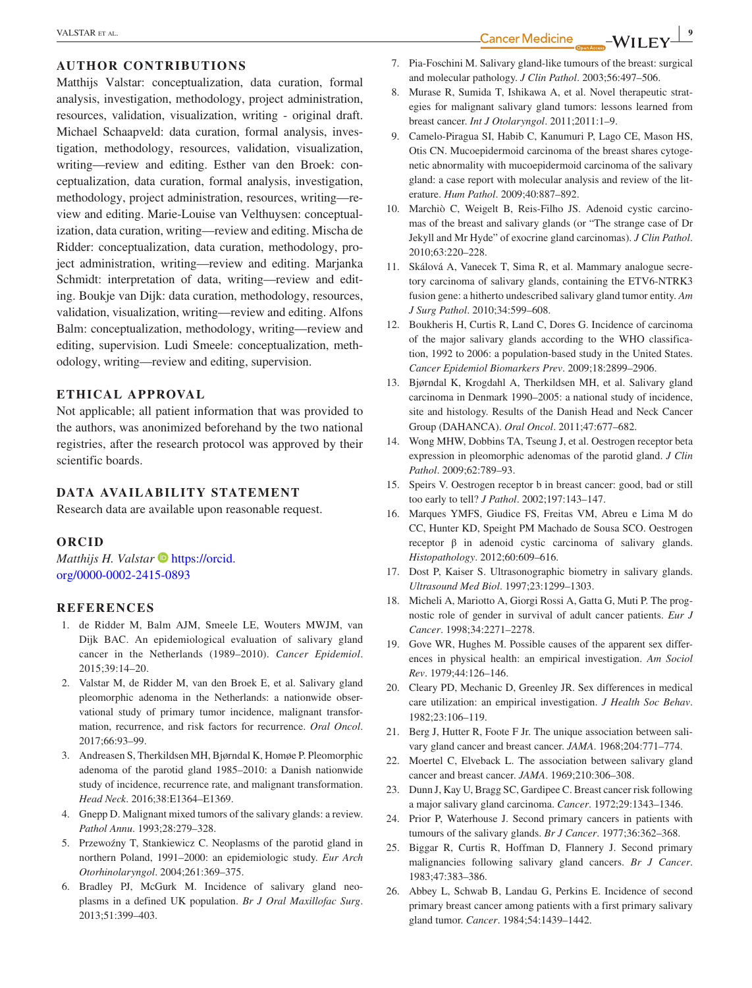#### **AUTHOR CONTRIBUTIONS**

Matthijs Valstar: conceptualization, data curation, formal analysis, investigation, methodology, project administration, resources, validation, visualization, writing - original draft. Michael Schaapveld: data curation, formal analysis, investigation, methodology, resources, validation, visualization, writing—review and editing. Esther van den Broek: conceptualization, data curation, formal analysis, investigation, methodology, project administration, resources, writing—review and editing. Marie-Louise van Velthuysen: conceptualization, data curation, writing—review and editing. Mischa de Ridder: conceptualization, data curation, methodology, project administration, writing—review and editing. Marjanka Schmidt: interpretation of data, writing—review and editing. Boukje van Dijk: data curation, methodology, resources, validation, visualization, writing—review and editing. Alfons Balm: conceptualization, methodology, writing—review and editing, supervision. Ludi Smeele: conceptualization, methodology, writing—review and editing, supervision.

#### **ETHICAL APPROVAL**

Not applicable; all patient information that was provided to the authors, was anonimized beforehand by the two national registries, after the research protocol was approved by their scientific boards.

#### **DATA AVAILABILITY STATEMENT**

Research data are available upon reasonable request.

#### **ORCID**

*Matthijs H. Valstar* **[https://orcid.](https://orcid.org/0000-0002-2415-0893)** [org/0000-0002-2415-0893](https://orcid.org/0000-0002-2415-0893)

#### **REFERENCES**

- 1. de Ridder M, Balm AJM, Smeele LE, Wouters MWJM, van Dijk BAC. An epidemiological evaluation of salivary gland cancer in the Netherlands (1989–2010). *Cancer Epidemiol*. 2015;39:14–20.
- 2. Valstar M, de Ridder M, van den Broek E, et al. Salivary gland pleomorphic adenoma in the Netherlands: a nationwide observational study of primary tumor incidence, malignant transformation, recurrence, and risk factors for recurrence. *Oral Oncol*. 2017;66:93–99.
- 3. Andreasen S, Therkildsen MH, Bjørndal K, Homøe P. Pleomorphic adenoma of the parotid gland 1985–2010: a Danish nationwide study of incidence, recurrence rate, and malignant transformation. *Head Neck*. 2016;38:E1364–E1369.
- 4. Gnepp D. Malignant mixed tumors of the salivary glands: a review. *Pathol Annu*. 1993;28:279–328.
- 5. Przewoźny T, Stankiewicz C. Neoplasms of the parotid gland in northern Poland, 1991–2000: an epidemiologic study. *Eur Arch Otorhinolaryngol*. 2004;261:369–375.
- 6. Bradley PJ, McGurk M. Incidence of salivary gland neoplasms in a defined UK population. *Br J Oral Maxillofac Surg*. 2013;51:399–403.
- 7. Pia-Foschini M. Salivary gland-like tumours of the breast: surgical and molecular pathology. *J Clin Pathol*. 2003;56:497–506.
- 8. Murase R, Sumida T, Ishikawa A, et al. Novel therapeutic strategies for malignant salivary gland tumors: lessons learned from breast cancer. *Int J Otolaryngol*. 2011;2011:1–9.
- 9. Camelo-Piragua SI, Habib C, Kanumuri P, Lago CE, Mason HS, Otis CN. Mucoepidermoid carcinoma of the breast shares cytogenetic abnormality with mucoepidermoid carcinoma of the salivary gland: a case report with molecular analysis and review of the literature. *Hum Pathol*. 2009;40:887–892.
- 10. Marchiò C, Weigelt B, Reis-Filho JS. Adenoid cystic carcinomas of the breast and salivary glands (or "The strange case of Dr Jekyll and Mr Hyde" of exocrine gland carcinomas). *J Clin Pathol*. 2010;63:220–228.
- 11. Skálová A, Vanecek T, Sima R, et al. Mammary analogue secretory carcinoma of salivary glands, containing the ETV6-NTRK3 fusion gene: a hitherto undescribed salivary gland tumor entity. *Am J Surg Pathol*. 2010;34:599–608.
- 12. Boukheris H, Curtis R, Land C, Dores G. Incidence of carcinoma of the major salivary glands according to the WHO classification, 1992 to 2006: a population-based study in the United States. *Cancer Epidemiol Biomarkers Prev*. 2009;18:2899–2906.
- 13. Bjørndal K, Krogdahl A, Therkildsen MH, et al. Salivary gland carcinoma in Denmark 1990–2005: a national study of incidence, site and histology. Results of the Danish Head and Neck Cancer Group (DAHANCA). *Oral Oncol*. 2011;47:677–682.
- 14. Wong MHW, Dobbins TA, Tseung J, et al. Oestrogen receptor beta expression in pleomorphic adenomas of the parotid gland. *J Clin Pathol*. 2009;62:789–93.
- 15. Speirs V. Oestrogen receptor b in breast cancer: good, bad or still too early to tell? *J Pathol*. 2002;197:143–147.
- 16. Marques YMFS, Giudice FS, Freitas VM, Abreu e Lima M do CC, Hunter KD, Speight PM Machado de Sousa SCO. Oestrogen receptor β in adenoid cystic carcinoma of salivary glands. *Histopathology*. 2012;60:609–616.
- 17. Dost P, Kaiser S. Ultrasonographic biometry in salivary glands. *Ultrasound Med Biol*. 1997;23:1299–1303.
- 18. Micheli A, Mariotto A, Giorgi Rossi A, Gatta G, Muti P. The prognostic role of gender in survival of adult cancer patients. *Eur J Cancer*. 1998;34:2271–2278.
- 19. Gove WR, Hughes M. Possible causes of the apparent sex differences in physical health: an empirical investigation. *Am Sociol Rev*. 1979;44:126–146.
- 20. Cleary PD, Mechanic D, Greenley JR. Sex differences in medical care utilization: an empirical investigation. *J Health Soc Behav*. 1982;23:106–119.
- 21. Berg J, Hutter R, Foote F Jr. The unique association between salivary gland cancer and breast cancer. *JAMA*. 1968;204:771–774.
- 22. Moertel C, Elveback L. The association between salivary gland cancer and breast cancer. *JAMA*. 1969;210:306–308.
- 23. Dunn J, Kay U, Bragg SC, Gardipee C. Breast cancer risk following a major salivary gland carcinoma. *Cancer*. 1972;29:1343–1346.
- 24. Prior P, Waterhouse J. Second primary cancers in patients with tumours of the salivary glands. *Br J Cancer*. 1977;36:362–368.
- 25. Biggar R, Curtis R, Hoffman D, Flannery J. Second primary malignancies following salivary gland cancers. *Br J Cancer*. 1983;47:383–386.
- 26. Abbey L, Schwab B, Landau G, Perkins E. Incidence of second primary breast cancer among patients with a first primary salivary gland tumor. *Cancer*. 1984;54:1439–1442.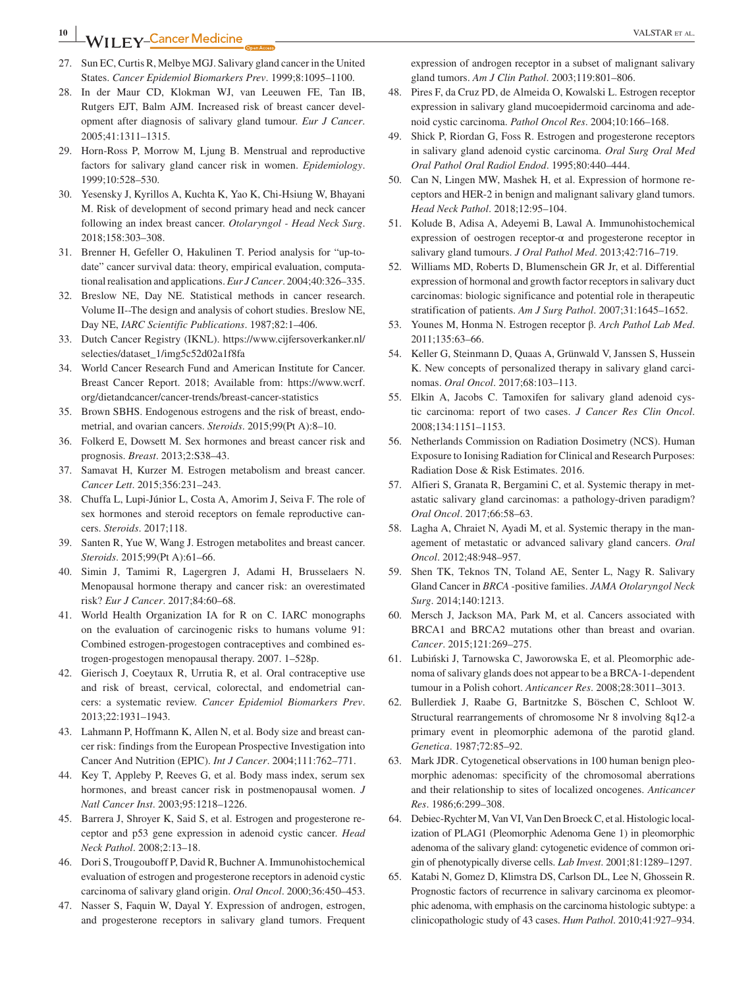**<sup>10</sup> |** VALSTAR et al.

- 27. Sun EC, Curtis R, Melbye MGJ. Salivary gland cancer in the United States. *Cancer Epidemiol Biomarkers Prev*. 1999;8:1095–1100.
- 28. In der Maur CD, Klokman WJ, van Leeuwen FE, Tan IB, Rutgers EJT, Balm AJM. Increased risk of breast cancer development after diagnosis of salivary gland tumour. *Eur J Cancer*. 2005;41:1311–1315.
- 29. Horn-Ross P, Morrow M, Ljung B. Menstrual and reproductive factors for salivary gland cancer risk in women. *Epidemiology*. 1999;10:528–530.
- 30. Yesensky J, Kyrillos A, Kuchta K, Yao K, Chi-Hsiung W, Bhayani M. Risk of development of second primary head and neck cancer following an index breast cancer. *Otolaryngol - Head Neck Surg*. 2018;158:303–308.
- 31. Brenner H, Gefeller O, Hakulinen T. Period analysis for "up-todate" cancer survival data: theory, empirical evaluation, computational realisation and applications. *Eur J Cancer*. 2004;40:326–335.
- 32. Breslow NE, Day NE. Statistical methods in cancer research. Volume II--The design and analysis of cohort studies. Breslow NE, Day NE, *IARC Scientific Publications*. 1987;82:1–406.
- 33. Dutch Cancer Registry (IKNL). [https://www.cijfersoverkanker.nl/](https://www.cijfersoverkanker.nl/selecties/dataset_1/img5c52d02a1f8fa) [selecties/dataset\\_1/img5c52d02a1f8fa](https://www.cijfersoverkanker.nl/selecties/dataset_1/img5c52d02a1f8fa)
- 34. World Cancer Research Fund and American Institute for Cancer. Breast Cancer Report. 2018; Available from: [https://www.wcrf.](https://www.wcrf.org/dietandcancer/cancer-trends/breast-cancer-statistics) [org/dietandcancer/cancer-trends/breast-cancer-statistics](https://www.wcrf.org/dietandcancer/cancer-trends/breast-cancer-statistics)
- 35. Brown SBHS. Endogenous estrogens and the risk of breast, endometrial, and ovarian cancers. *Steroids*. 2015;99(Pt A):8–10.
- 36. Folkerd E, Dowsett M. Sex hormones and breast cancer risk and prognosis. *Breast*. 2013;2:S38–43.
- 37. Samavat H, Kurzer M. Estrogen metabolism and breast cancer. *Cancer Lett*. 2015;356:231–243.
- 38. Chuffa L, Lupi-Júnior L, Costa A, Amorim J, Seiva F. The role of sex hormones and steroid receptors on female reproductive cancers. *Steroids*. 2017;118.
- 39. Santen R, Yue W, Wang J. Estrogen metabolites and breast cancer. *Steroids*. 2015;99(Pt A):61–66.
- 40. Simin J, Tamimi R, Lagergren J, Adami H, Brusselaers N. Menopausal hormone therapy and cancer risk: an overestimated risk? *Eur J Cancer*. 2017;84:60–68.
- 41. World Health Organization IA for R on C. IARC monographs on the evaluation of carcinogenic risks to humans volume 91: Combined estrogen-progestogen contraceptives and combined estrogen-progestogen menopausal therapy. 2007. 1–528p.
- 42. Gierisch J, Coeytaux R, Urrutia R, et al. Oral contraceptive use and risk of breast, cervical, colorectal, and endometrial cancers: a systematic review. *Cancer Epidemiol Biomarkers Prev*. 2013;22:1931–1943.
- 43. Lahmann P, Hoffmann K, Allen N, et al. Body size and breast cancer risk: findings from the European Prospective Investigation into Cancer And Nutrition (EPIC). *Int J Cancer*. 2004;111:762–771.
- 44. Key T, Appleby P, Reeves G, et al. Body mass index, serum sex hormones, and breast cancer risk in postmenopausal women. *J Natl Cancer Inst*. 2003;95:1218–1226.
- 45. Barrera J, Shroyer K, Said S, et al. Estrogen and progesterone receptor and p53 gene expression in adenoid cystic cancer. *Head Neck Pathol*. 2008;2:13–18.
- 46. Dori S, Trougouboff P, David R, Buchner A. Immunohistochemical evaluation of estrogen and progesterone receptors in adenoid cystic carcinoma of salivary gland origin. *Oral Oncol*. 2000;36:450–453.
- 47. Nasser S, Faquin W, Dayal Y. Expression of androgen, estrogen, and progesterone receptors in salivary gland tumors. Frequent

expression of androgen receptor in a subset of malignant salivary gland tumors. *Am J Clin Pathol*. 2003;119:801–806.

- 48. Pires F, da Cruz PD, de Almeida O, Kowalski L. Estrogen receptor expression in salivary gland mucoepidermoid carcinoma and adenoid cystic carcinoma. *Pathol Oncol Res*. 2004;10:166–168.
- 49. Shick P, Riordan G, Foss R. Estrogen and progesterone receptors in salivary gland adenoid cystic carcinoma. *Oral Surg Oral Med Oral Pathol Oral Radiol Endod*. 1995;80:440–444.
- 50. Can N, Lingen MW, Mashek H, et al. Expression of hormone receptors and HER-2 in benign and malignant salivary gland tumors. *Head Neck Pathol*. 2018;12:95–104.
- 51. Kolude B, Adisa A, Adeyemi B, Lawal A. Immunohistochemical expression of oestrogen receptor-α and progesterone receptor in salivary gland tumours. *J Oral Pathol Med*. 2013;42:716–719.
- 52. Williams MD, Roberts D, Blumenschein GR Jr, et al. Differential expression of hormonal and growth factor receptors in salivary duct carcinomas: biologic significance and potential role in therapeutic stratification of patients. *Am J Surg Pathol*. 2007;31:1645–1652.
- 53. Younes M, Honma N. Estrogen receptor β. *Arch Pathol Lab Med*. 2011;135:63–66.
- 54. Keller G, Steinmann D, Quaas A, Grünwald V, Janssen S, Hussein K. New concepts of personalized therapy in salivary gland carcinomas. *Oral Oncol*. 2017;68:103–113.
- 55. Elkin A, Jacobs C. Tamoxifen for salivary gland adenoid cystic carcinoma: report of two cases. *J Cancer Res Clin Oncol*. 2008;134:1151–1153.
- 56. Netherlands Commission on Radiation Dosimetry (NCS). Human Exposure to Ionising Radiation for Clinical and Research Purposes: Radiation Dose & Risk Estimates. 2016.
- 57. Alfieri S, Granata R, Bergamini C, et al. Systemic therapy in metastatic salivary gland carcinomas: a pathology-driven paradigm? *Oral Oncol*. 2017;66:58–63.
- 58. Lagha A, Chraiet N, Ayadi M, et al. Systemic therapy in the management of metastatic or advanced salivary gland cancers. *Oral Oncol*. 2012;48:948–957.
- 59. Shen TK, Teknos TN, Toland AE, Senter L, Nagy R. Salivary Gland Cancer in *BRCA* -positive families. *JAMA Otolaryngol Neck Surg*. 2014;140:1213.
- 60. Mersch J, Jackson MA, Park M, et al. Cancers associated with BRCA1 and BRCA2 mutations other than breast and ovarian. *Cancer*. 2015;121:269–275.
- 61. Lubiński J, Tarnowska C, Jaworowska E, et al. Pleomorphic adenoma of salivary glands does not appear to be a BRCA-1-dependent tumour in a Polish cohort. *Anticancer Res*. 2008;28:3011–3013.
- 62. Bullerdiek J, Raabe G, Bartnitzke S, Böschen C, Schloot W. Structural rearrangements of chromosome Nr 8 involving 8q12-a primary event in pleomorphic ademona of the parotid gland. *Genetica*. 1987;72:85–92.
- 63. Mark JDR. Cytogenetical observations in 100 human benign pleomorphic adenomas: specificity of the chromosomal aberrations and their relationship to sites of localized oncogenes. *Anticancer Res*. 1986;6:299–308.
- 64. Debiec-Rychter M, Van VI, Van Den Broeck C, et al. Histologic localization of PLAG1 (Pleomorphic Adenoma Gene 1) in pleomorphic adenoma of the salivary gland: cytogenetic evidence of common origin of phenotypically diverse cells. *Lab Invest*. 2001;81:1289–1297.
- 65. Katabi N, Gomez D, Klimstra DS, Carlson DL, Lee N, Ghossein R. Prognostic factors of recurrence in salivary carcinoma ex pleomorphic adenoma, with emphasis on the carcinoma histologic subtype: a clinicopathologic study of 43 cases. *Hum Pathol*. 2010;41:927–934.